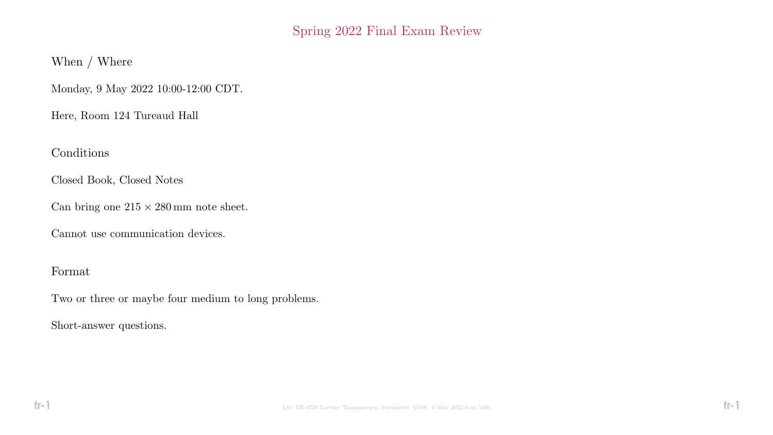# Spring 2022 Final Exam Review

When / Where

Monday, 9 May 2022 10:00-12:00 CDT.

Here, Room 124 Tureaud Hall

Conditions

Closed Book, Closed Notes

Can bring one  $215 \times 280 \,\mathrm{mm}$  note sheet.

Cannot use communication devices.

### Format

Two or three or maybe four medium to long problems.

Short-answer questions.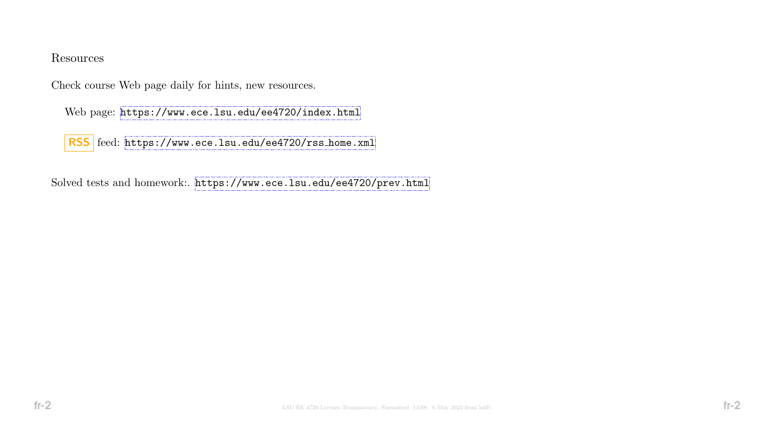#### Resources

Check course Web page daily for hints, new resources.

Web page: <https://www.ece.lsu.edu/ee4720/index.html>

RSS feed: [https://www.ece.lsu.edu/ee4720/rss](https://www.ece.lsu.edu/ee4720/rssunhbox voidb@x kern .06em vbox {hrule width.3em}home.xml)\_home.xml

Solved tests and homework:. <https://www.ece.lsu.edu/ee4720/prev.html>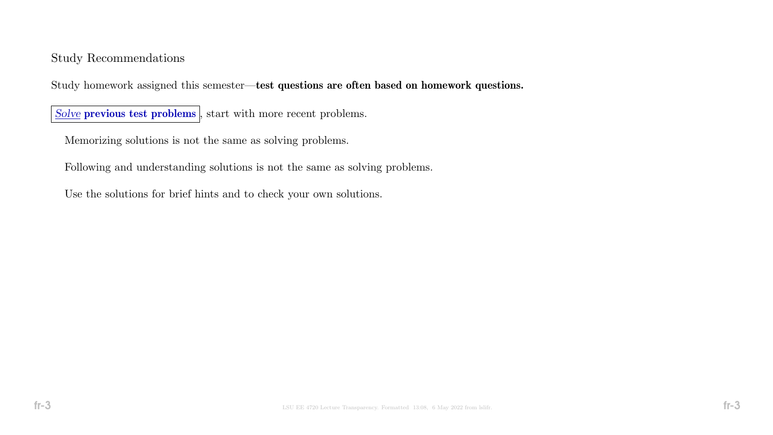### Study Recommendations

Study homework assigned this semester—test questions are often based on homework questions.

Solve previous test problems, start with more recent problems.

Memorizing solutions is not the same as solving problems.

Following and understanding solutions is not the same as solving problems.

Use the solutions for brief hints and to check your own solutions.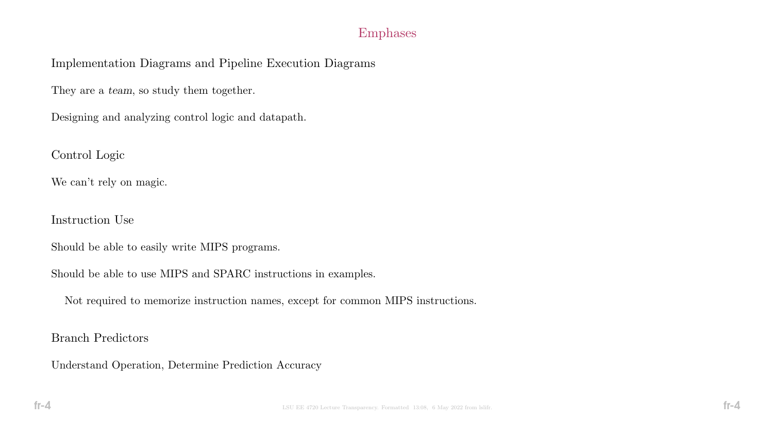### Emphases

Implementation Diagrams and Pipeline Execution Diagrams

They are a team, so study them together.

Designing and analyzing control logic and datapath.

Control Logic

We can't rely on magic.

Instruction Use

Should be able to easily write MIPS programs.

Should be able to use MIPS and SPARC instructions in examples.

Not required to memorize instruction names, except for common MIPS instructions.

Branch Predictors

Understand Operation, Determine Prediction Accuracy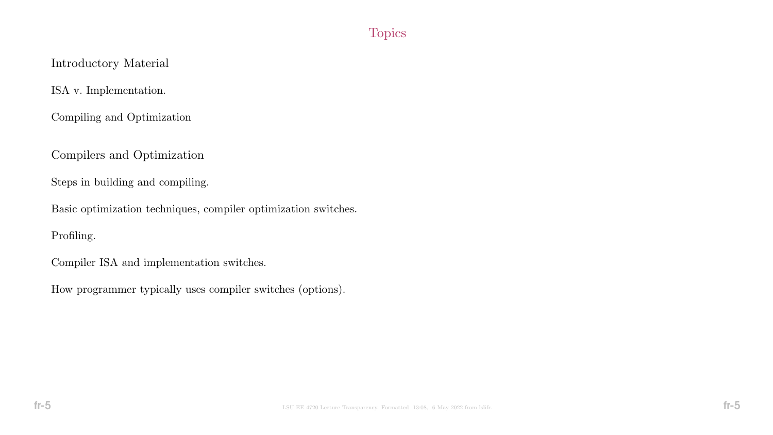# **Topics**

# Introductory Material

ISA v. Implementation.

Compiling and Optimization

Compilers and Optimization

Steps in building and compiling.

Basic optimization techniques, compiler optimization switches.

Profiling.

Compiler ISA and implementation switches.

How programmer typically uses compiler switches (options).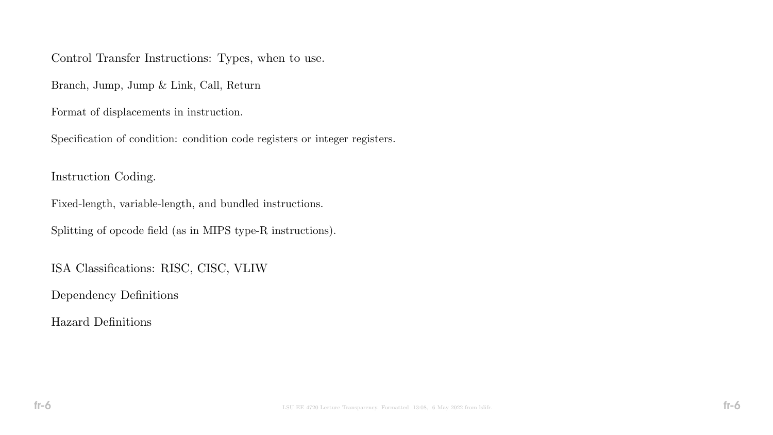Control Transfer Instructions: Types, when to use.

Branch, Jump, Jump & Link, Call, Return

Format of displacements in instruction.

Specification of condition: condition code registers or integer registers.

Instruction Coding.

Fixed-length, variable-length, and bundled instructions.

Splitting of opcode field (as in MIPS type-R instructions).

ISA Classifications: RISC, CISC, VLIW

Dependency Definitions

Hazard Definitions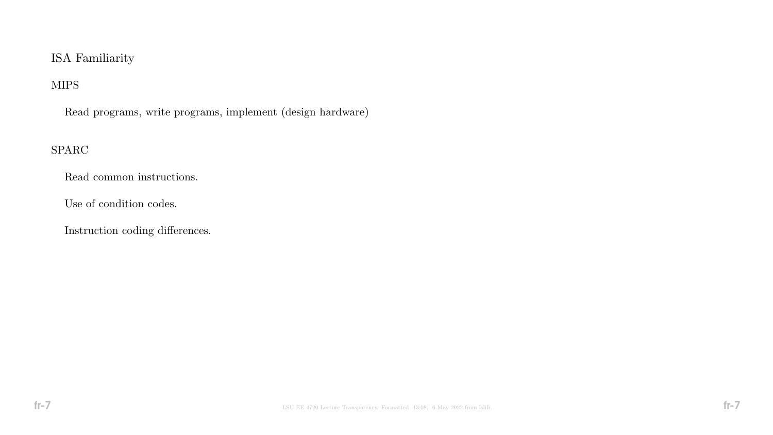# ISA Familiarity

# MIPS

Read programs, write programs, implement (design hardware)

### SPARC

Read common instructions.

Use of condition codes.

Instruction coding differences.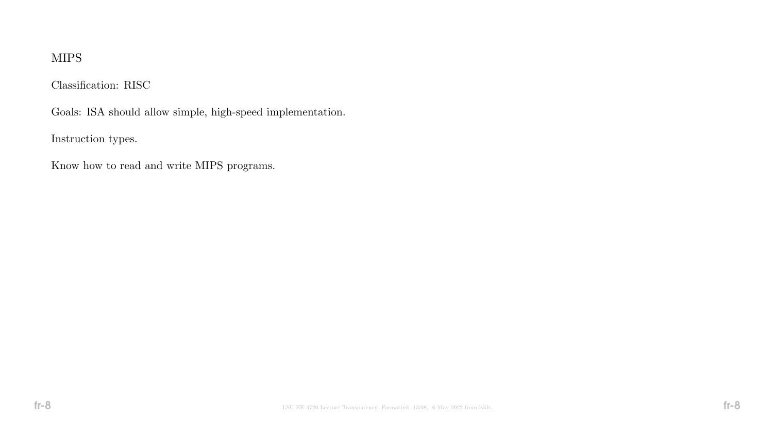# MIPS

Classification: RISC

Goals: ISA should allow simple, high-speed implementation.

Instruction types.

Know how to read and write MIPS programs.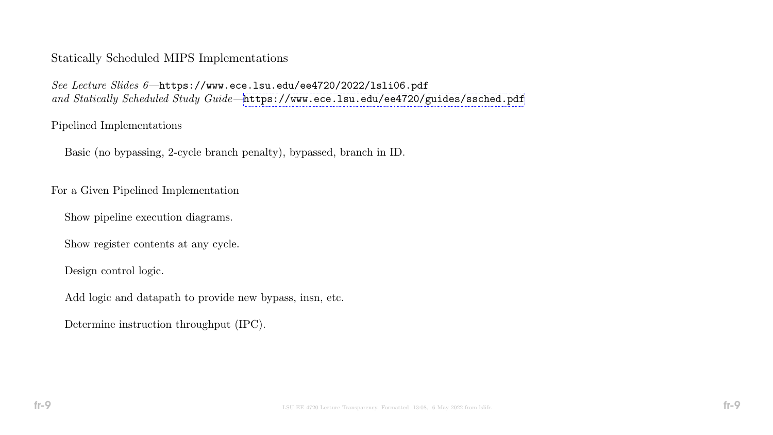#### Statically Scheduled MIPS Implementations

See Lecture Slides 6—https://www.ece.lsu.edu/ee4720/2022/lsli06.pdf and Statically Scheduled Study Guide-<https://www.ece.lsu.edu/ee4720/guides/ssched.pdf>

#### Pipelined Implementations

Basic (no bypassing, 2-cycle branch penalty), bypassed, branch in ID.

For a Given Pipelined Implementation

Show pipeline execution diagrams.

Show register contents at any cycle.

Design control logic.

Add logic and datapath to provide new bypass, insn, etc.

Determine instruction throughput (IPC).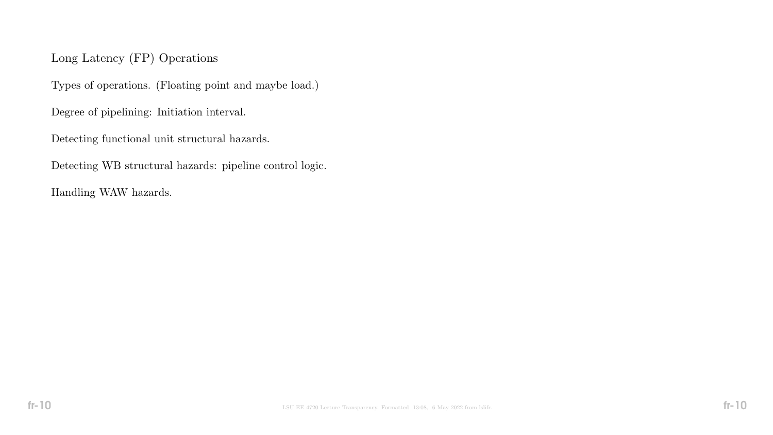# Long Latency (FP) Operations

Types of operations. (Floating point and maybe load.)

Degree of pipelining: Initiation interval.

Detecting functional unit structural hazards.

Detecting WB structural hazards: pipeline control logic.

Handling WAW hazards.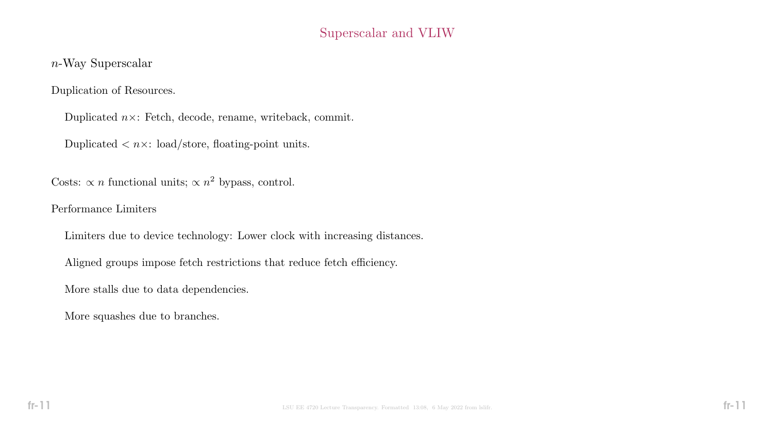# Superscalar and VLIW

### n-Way Superscalar

Duplication of Resources.

Duplicated  $n \times$ : Fetch, decode, rename, writeback, commit.

Duplicated  $\langle n \times: \text{load/store}, \text{floating-point units.} \rangle$ 

Costs:  $\propto n$  functional units;  $\propto n^2$  bypass, control.

Performance Limiters

Limiters due to device technology: Lower clock with increasing distances.

Aligned groups impose fetch restrictions that reduce fetch efficiency.

More stalls due to data dependencies.

More squashes due to branches.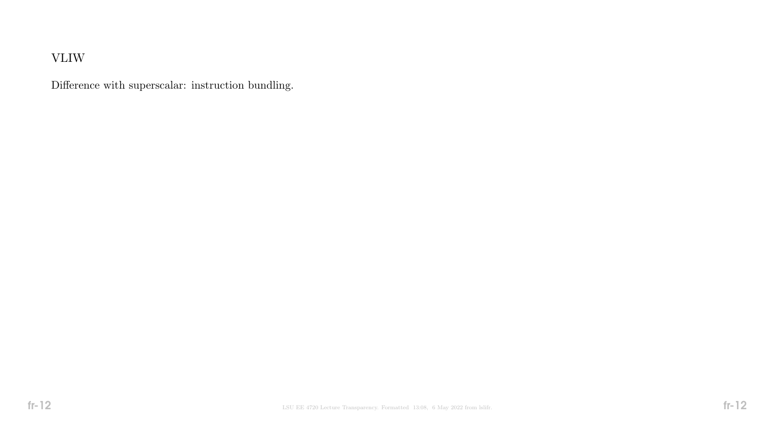# VLIW

Difference with superscalar: instruction bundling.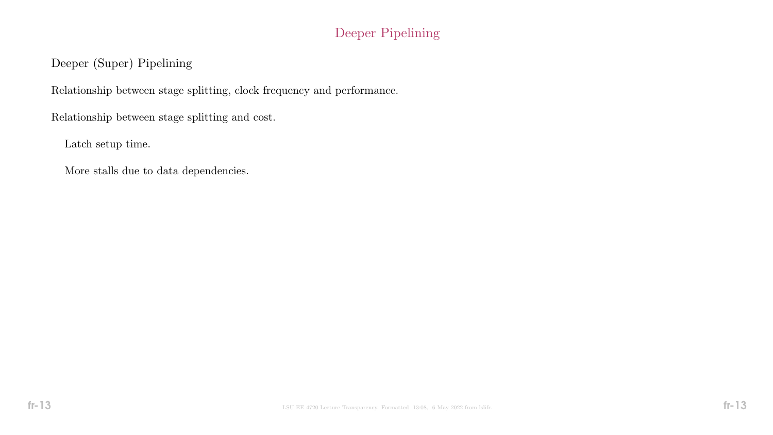# Deeper Pipelining

# Deeper (Super) Pipelining

Relationship between stage splitting, clock frequency and performance.

Relationship between stage splitting and cost.

Latch setup time.

More stalls due to data dependencies.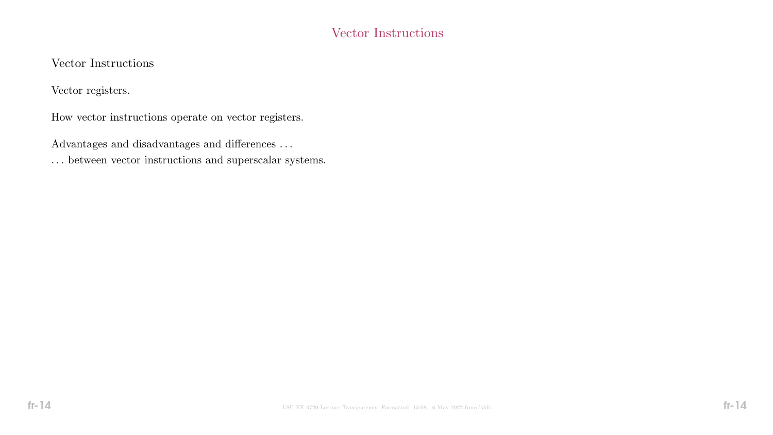# Vector Instructions

### Vector Instructions

Vector registers.

How vector instructions operate on vector registers.

Advantages and disadvantages and differences  $\ldots$ 

 $\ldots$  between vector instructions and superscalar systems.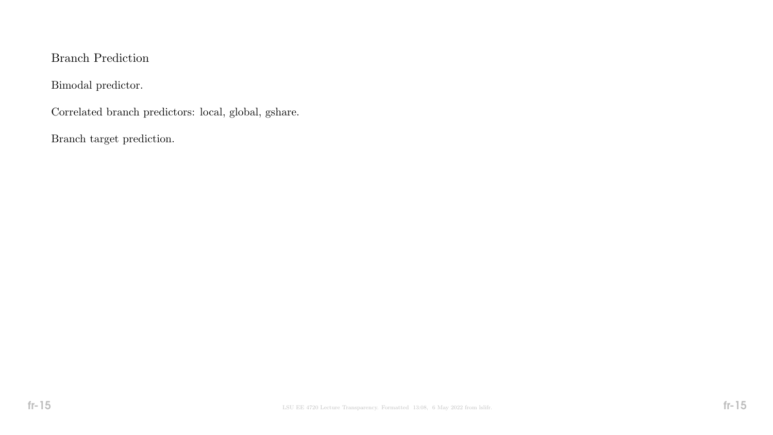### Branch Prediction

Bimodal predictor.

Correlated branch predictors: local, global, gshare.

Branch target prediction.